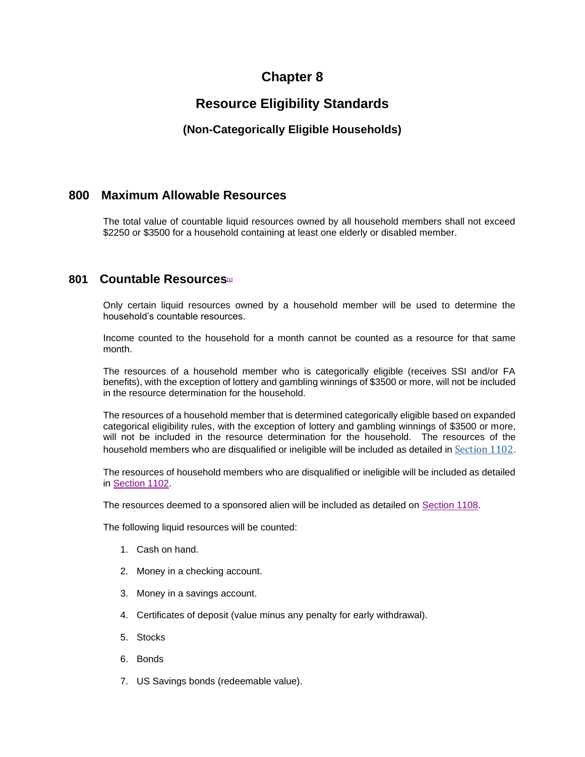# **Chapter 8**

# **Resource Eligibility Standards**

# **(Non-Categorically Eligible Households)**

### **800 Maximum Allowable Resources**

The total value of countable liquid resources owned by all household members shall not exceed \$2250 or \$3500 for a household containing at least one elderly or disabled member.

### **801 Countable Resources[\[1\]](http://www.dhr.state.al.us/POE/chapter/CHAPTER%2008.htm#_ftn1)**

Only certain liquid resources owned by a household member will be used to determine the household's countable resources.

Income counted to the household for a month cannot be counted as a resource for that same month.

The resources of a household member who is categorically eligible (receives SSI and/or FA benefits), with the exception of lottery and gambling winnings of \$3500 or more, will not be included in the resource determination for the household.

The resources of a household member that is determined categorically eligible based on expanded categorical eligibility rules, with the exception of lottery and gambling winnings of \$3500 or more, will not be included in the resource determination for the household. The resources of the household members who are disqualified or ineligible will be included as detailed in [Section 1102](http://dhr99aswtpwb01v:8888/POE_Manual/desktop/1102_Treatment_Resources_Inc_n_Ded_of_Certain_Non-H_Mem.htm).

The resources of household members who are disqualified or ineligible will be included as detailed in [Section 1102.](http://www.dhr.state.al.us/POE/chapter/CHAPTER%20111.htm#Section_1102)

The resources deemed to a sponsored alien will be included as detailed on [Section 1108.](http://www.dhr.state.al.us/POE/chapter/CHAPTER%20111.htm#Section_1108)

The following liquid resources will be counted:

- 1. Cash on hand.
- 2. Money in a checking account.
- 3. Money in a savings account.
- 4. Certificates of deposit (value minus any penalty for early withdrawal).
- 5. Stocks
- 6. Bonds
- 7. US Savings bonds (redeemable value).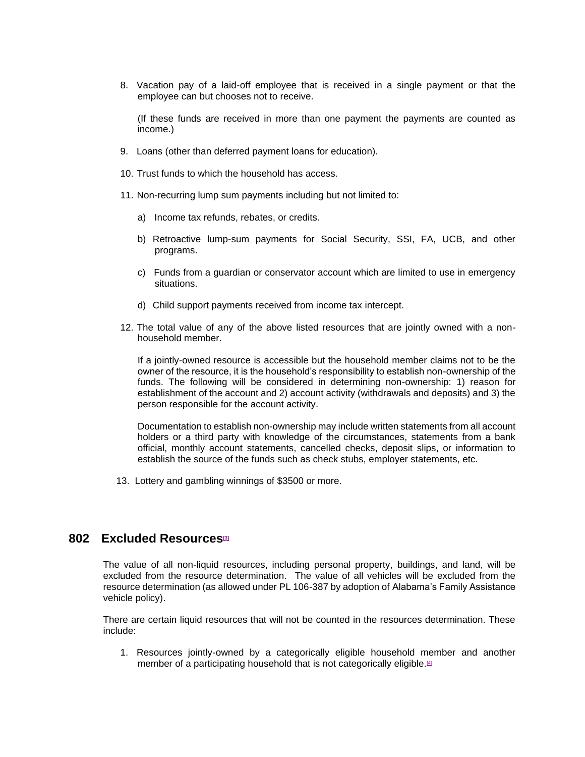8. Vacation pay of a laid-off employee that is received in a single payment or that the employee can but chooses not to receive.

(If these funds are received in more than one payment the payments are counted as income.)

- 9. Loans (other than deferred payment loans for education).
- 10. Trust funds to which the household has access.
- 11. Non-recurring lump sum payments including but not limited to:
	- a) Income tax refunds, rebates, or credits.
	- b) Retroactive lump-sum payments for Social Security, SSI, FA, UCB, and other programs.
	- c) Funds from a guardian or conservator account which are limited to use in emergency situations.
	- d) Child support payments received from income tax intercept.
- 12. The total value of any of the above listed resources that are jointly owned with a nonhousehold member.

If a jointly-owned resource is accessible but the household member claims not to be the owner of the resource, it is the household's responsibility to establish non-ownership of the funds. The following will be considered in determining non-ownership: 1) reason for establishment of the account and 2) account activity (withdrawals and deposits) and 3) the person responsible for the account activity.

Documentation to establish non-ownership may include written statements from all account holders or a third party with knowledge of the circumstances, statements from a bank official, monthly account statements, cancelled checks, deposit slips, or information to establish the source of the funds such as check stubs, employer statements, etc.

13. Lottery and gambling winnings of \$3500 or more.

#### **802 Excluded Resources[\[3\]](http://www.dhr.state.al.us/POE/chapter/CHAPTER%2008.htm#_ftn3)**

The value of all non-liquid resources, including personal property, buildings, and land, will be excluded from the resource determination. The value of all vehicles will be excluded from the resource determination (as allowed under PL 106-387 by adoption of Alabama's Family Assistance vehicle policy).

There are certain liquid resources that will not be counted in the resources determination. These include:

1. Resources jointly-owned by a categorically eligible household member and another member of a participating household that is not categorically eligible.<sup>[\[4\]](http://www.dhr.state.al.us/POE/chapter/CHAPTER%2008.htm#_ftn4)</sup>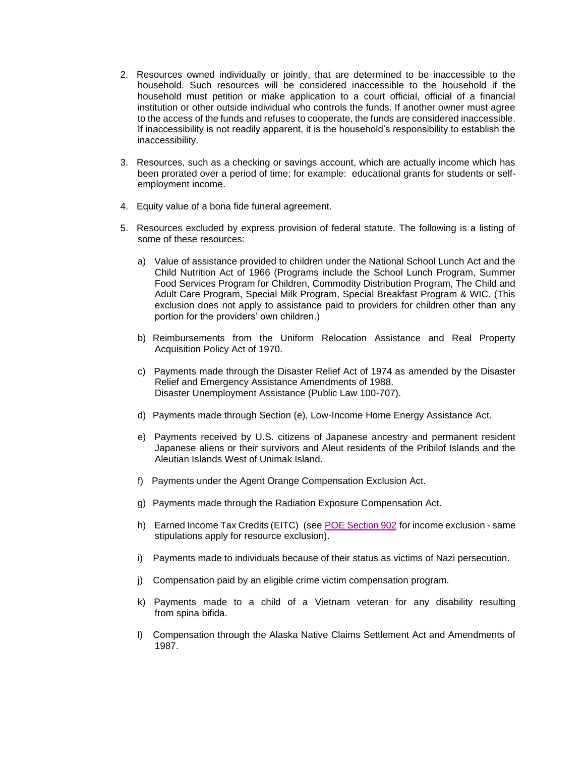- 2. Resources owned individually or jointly, that are determined to be inaccessible to the household. Such resources will be considered inaccessible to the household if the household must petition or make application to a court official, official of a financial institution or other outside individual who controls the funds. If another owner must agree to the access of the funds and refuses to cooperate, the funds are considered inaccessible. If inaccessibility is not readily apparent, it is the household's responsibility to establish the inaccessibility.
- 3. Resources, such as a checking or savings account, which are actually income which has been prorated over a period of time; for example: educational grants for students or selfemployment income.
- 4. Equity value of a bona fide funeral agreement.
- 5. Resources excluded by express provision of federal statute. The following is a listing of some of these resources:
	- a) Value of assistance provided to children under the National School Lunch Act and the Child Nutrition Act of 1966 (Programs include the School Lunch Program, Summer Food Services Program for Children, Commodity Distribution Program, The Child and Adult Care Program, Special Milk Program, Special Breakfast Program & WIC. (This exclusion does not apply to assistance paid to providers for children other than any portion for the providers' own children.)
	- b) Reimbursements from the Uniform Relocation Assistance and Real Property Acquisition Policy Act of 1970.
	- c) Payments made through the Disaster Relief Act of 1974 as amended by the Disaster Relief and Emergency Assistance Amendments of 1988. Disaster Unemployment Assistance (Public Law 100-707).
	- d) Payments made through Section (e), Low-Income Home Energy Assistance Act.
	- e) Payments received by U.S. citizens of Japanese ancestry and permanent resident Japanese aliens or their survivors and Aleut residents of the Pribilof Islands and the Aleutian Islands West of Unimak Island.
	- f) Payments under the Agent Orange Compensation Exclusion Act.
	- g) Payments made through the Radiation Exposure Compensation Act.
	- h) Earned Income Tax Credits (EITC) (see [POE Section 902](http://www.dhr.state.al.us/POE/chapter/CHAPTER%2009.htm#Section_902) for income exclusion same stipulations apply for resource exclusion).
	- i) Payments made to individuals because of their status as victims of Nazi persecution.
	- j) Compensation paid by an eligible crime victim compensation program.
	- k) Payments made to a child of a Vietnam veteran for any disability resulting from spina bifida.
	- l) Compensation through the Alaska Native Claims Settlement Act and Amendments of 1987.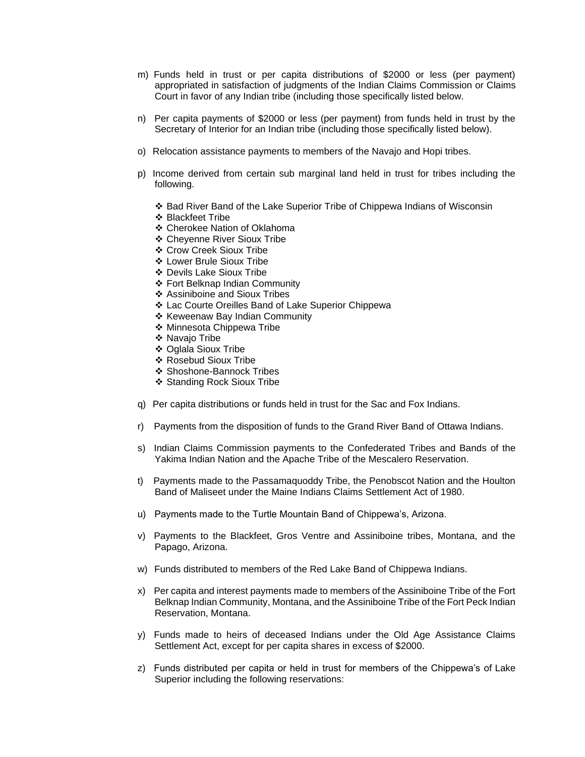- m) Funds held in trust or per capita distributions of \$2000 or less (per payment) appropriated in satisfaction of judgments of the Indian Claims Commission or Claims Court in favor of any Indian tribe (including those specifically listed below.
- n) Per capita payments of \$2000 or less (per payment) from funds held in trust by the Secretary of Interior for an Indian tribe (including those specifically listed below).
- o) Relocation assistance payments to members of the Navajo and Hopi tribes.
- p) Income derived from certain sub marginal land held in trust for tribes including the following.
	- ❖ Bad River Band of the Lake Superior Tribe of Chippewa Indians of Wisconsin
	- ❖ Blackfeet Tribe
	- ❖ Cherokee Nation of Oklahoma
	- ❖ Cheyenne River Sioux Tribe
	- ❖ Crow Creek Sioux Tribe
	- ❖ Lower Brule Sioux Tribe
	- ❖ Devils Lake Sioux Tribe
	- ❖ Fort Belknap Indian Community
	- ❖ Assiniboine and Sioux Tribes
	- ❖ Lac Courte Oreilles Band of Lake Superior Chippewa
	- ❖ Keweenaw Bay Indian Community
	- ❖ Minnesota Chippewa Tribe
	- ❖ Navajo Tribe
	- ❖ Oglala Sioux Tribe
	- ❖ Rosebud Sioux Tribe
	- ❖ Shoshone-Bannock Tribes
	- ❖ Standing Rock Sioux Tribe
- q) Per capita distributions or funds held in trust for the Sac and Fox Indians.
- r) Payments from the disposition of funds to the Grand River Band of Ottawa Indians.
- s) Indian Claims Commission payments to the Confederated Tribes and Bands of the Yakima Indian Nation and the Apache Tribe of the Mescalero Reservation.
- t) Payments made to the Passamaquoddy Tribe, the Penobscot Nation and the Houlton Band of Maliseet under the Maine Indians Claims Settlement Act of 1980.
- u) Payments made to the Turtle Mountain Band of Chippewa's, Arizona.
- v) Payments to the Blackfeet, Gros Ventre and Assiniboine tribes, Montana, and the Papago, Arizona.
- w) Funds distributed to members of the Red Lake Band of Chippewa Indians.
- x) Per capita and interest payments made to members of the Assiniboine Tribe of the Fort Belknap Indian Community, Montana, and the Assiniboine Tribe of the Fort Peck Indian Reservation, Montana.
- y) Funds made to heirs of deceased Indians under the Old Age Assistance Claims Settlement Act, except for per capita shares in excess of \$2000.
- z) Funds distributed per capita or held in trust for members of the Chippewa's of Lake Superior including the following reservations: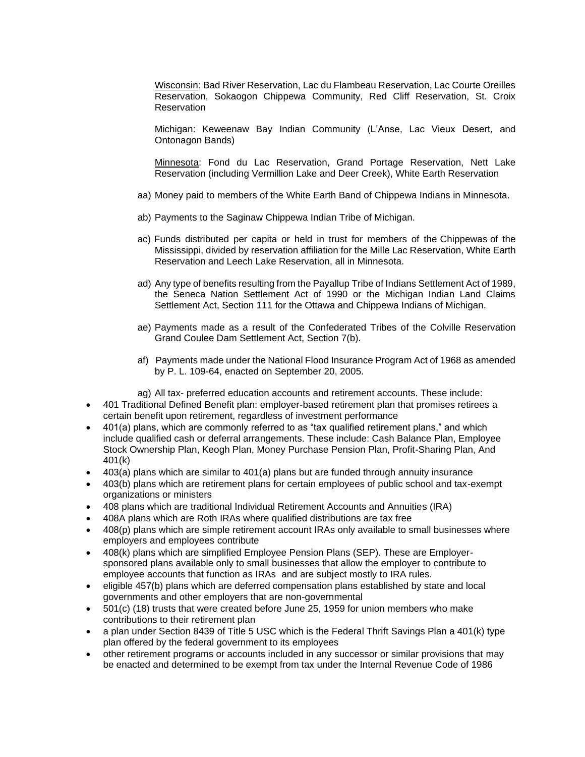Wisconsin: Bad River Reservation, Lac du Flambeau Reservation, Lac Courte Oreilles Reservation, Sokaogon Chippewa Community, Red Cliff Reservation, St. Croix **Reservation** 

Michigan: Keweenaw Bay Indian Community (L'Anse, Lac Vieux Desert, and Ontonagon Bands)

Minnesota: Fond du Lac Reservation, Grand Portage Reservation, Nett Lake Reservation (including Vermillion Lake and Deer Creek), White Earth Reservation

- aa) Money paid to members of the White Earth Band of Chippewa Indians in Minnesota.
- ab) Payments to the Saginaw Chippewa Indian Tribe of Michigan.
- ac) Funds distributed per capita or held in trust for members of the Chippewas of the Mississippi, divided by reservation affiliation for the Mille Lac Reservation, White Earth Reservation and Leech Lake Reservation, all in Minnesota.
- ad) Any type of benefits resulting from the Payallup Tribe of Indians Settlement Act of 1989, the Seneca Nation Settlement Act of 1990 or the Michigan Indian Land Claims Settlement Act, Section 111 for the Ottawa and Chippewa Indians of Michigan.
- ae) Payments made as a result of the Confederated Tribes of the Colville Reservation Grand Coulee Dam Settlement Act, Section 7(b).
- af) Payments made under the National Flood Insurance Program Act of 1968 as amended by P. L. 109-64, enacted on September 20, 2005.

ag) All tax- preferred education accounts and retirement accounts. These include:

- 401 Traditional Defined Benefit plan: employer-based retirement plan that promises retirees a certain benefit upon retirement, regardless of investment performance
- 401(a) plans, which are commonly referred to as "tax qualified retirement plans," and which include qualified cash or deferral arrangements. These include: Cash Balance Plan, Employee Stock Ownership Plan, Keogh Plan, Money Purchase Pension Plan, Profit-Sharing Plan, And 401(k)
- 403(a) plans which are similar to 401(a) plans but are funded through annuity insurance
- 403(b) plans which are retirement plans for certain employees of public school and tax-exempt organizations or ministers
- 408 plans which are traditional Individual Retirement Accounts and Annuities (IRA)
- 408A plans which are Roth IRAs where qualified distributions are tax free
- 408(p) plans which are simple retirement account IRAs only available to small businesses where employers and employees contribute
- 408(k) plans which are simplified Employee Pension Plans (SEP). These are Employersponsored plans available only to small businesses that allow the employer to contribute to employee accounts that function as IRAs and are subject mostly to IRA rules.
- eligible 457(b) plans which are deferred compensation plans established by state and local governments and other employers that are non-governmental
- 501(c) (18) trusts that were created before June 25, 1959 for union members who make contributions to their retirement plan
- a plan under Section 8439 of Title 5 USC which is the Federal Thrift Savings Plan a 401(k) type plan offered by the federal government to its employees
- other retirement programs or accounts included in any successor or similar provisions that may be enacted and determined to be exempt from tax under the Internal Revenue Code of 1986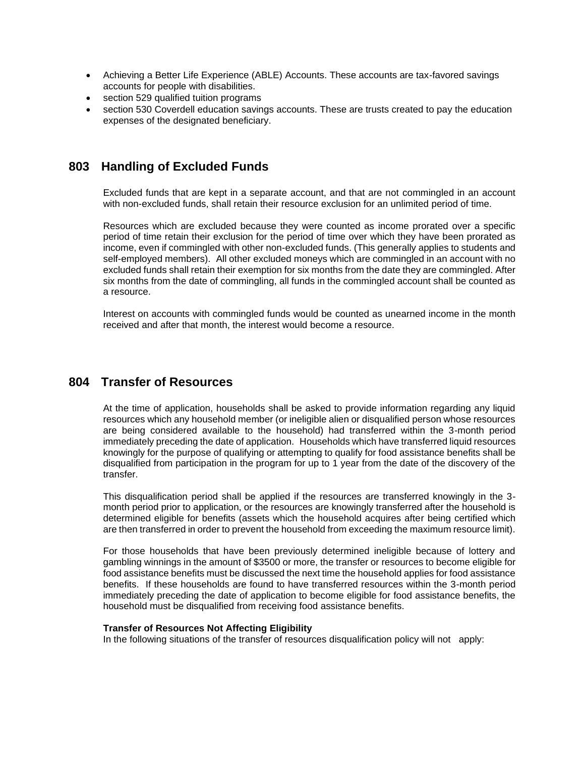- Achieving a Better Life Experience (ABLE) Accounts. These accounts are tax-favored savings accounts for people with disabilities.
- section 529 qualified tuition programs
- section 530 Coverdell education savings accounts. These are trusts created to pay the education expenses of the designated beneficiary.

## **803 Handling of Excluded Funds**

Excluded funds that are kept in a separate account, and that are not commingled in an account with non-excluded funds, shall retain their resource exclusion for an unlimited period of time.

Resources which are excluded because they were counted as income prorated over a specific period of time retain their exclusion for the period of time over which they have been prorated as income, even if commingled with other non-excluded funds. (This generally applies to students and self-employed members). All other excluded moneys which are commingled in an account with no excluded funds shall retain their exemption for six months from the date they are commingled. After six months from the date of commingling, all funds in the commingled account shall be counted as a resource.

Interest on accounts with commingled funds would be counted as unearned income in the month received and after that month, the interest would become a resource.

## **804 Transfer of Resources**

At the time of application, households shall be asked to provide information regarding any liquid resources which any household member (or ineligible alien or disqualified person whose resources are being considered available to the household) had transferred within the 3-month period immediately preceding the date of application. Households which have transferred liquid resources knowingly for the purpose of qualifying or attempting to qualify for food assistance benefits shall be disqualified from participation in the program for up to 1 year from the date of the discovery of the transfer.

This disqualification period shall be applied if the resources are transferred knowingly in the 3 month period prior to application, or the resources are knowingly transferred after the household is determined eligible for benefits (assets which the household acquires after being certified which are then transferred in order to prevent the household from exceeding the maximum resource limit).

For those households that have been previously determined ineligible because of lottery and gambling winnings in the amount of \$3500 or more, the transfer or resources to become eligible for food assistance benefits must be discussed the next time the household applies for food assistance benefits. If these households are found to have transferred resources within the 3-month period immediately preceding the date of application to become eligible for food assistance benefits, the household must be disqualified from receiving food assistance benefits.

#### **Transfer of Resources Not Affecting Eligibility**

In the following situations of the transfer of resources disqualification policy will not apply: